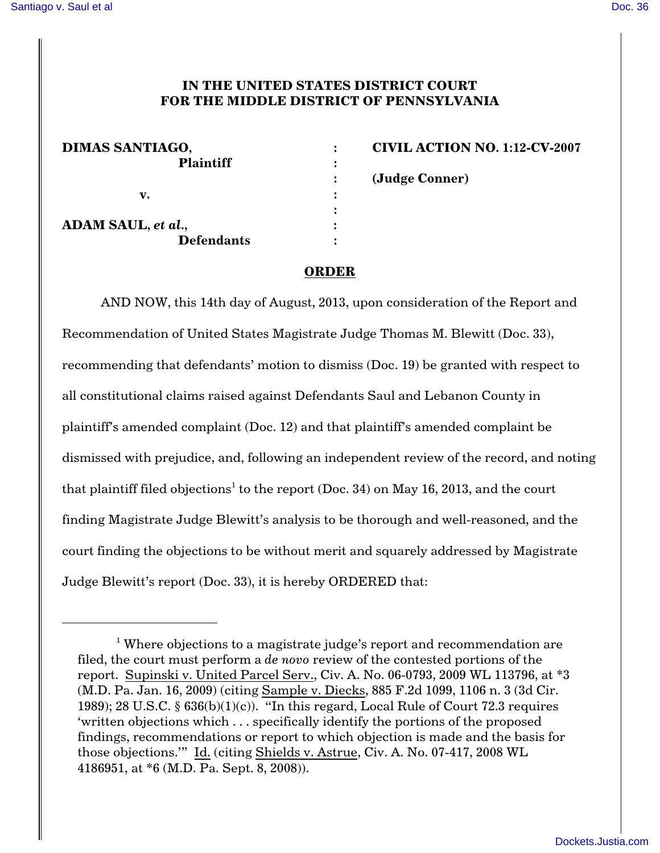## **IN THE UNITED STATES DISTRICT COURT FOR THE MIDDLE DISTRICT OF PENNSYLVANIA**

| DIMAS SANTIAGO,    | <b>CIVIL ACTION</b> |
|--------------------|---------------------|
| <b>Plaintiff</b>   |                     |
|                    | (Judge Conner)      |
| v.                 |                     |
|                    |                     |
| ADAM SAUL, et al., |                     |
| <b>Defendants</b>  |                     |

**DN NO. 1:12-CV-2007** 

## **ORDER**

AND NOW, this 14th day of August, 2013, upon consideration of the Report and Recommendation of United States Magistrate Judge Thomas M. Blewitt (Doc. 33), recommending that defendants' motion to dismiss (Doc. 19) be granted with respect to all constitutional claims raised against Defendants Saul and Lebanon County in plaintiff's amended complaint (Doc. 12) and that plaintiff's amended complaint be dismissed with prejudice, and, following an independent review of the record, and noting that plaintiff filed objections<sup>1</sup> to the report (Doc. 34) on May 16, 2013, and the court finding Magistrate Judge Blewitt's analysis to be thorough and well-reasoned, and the court finding the objections to be without merit and squarely addressed by Magistrate Judge Blewitt's report (Doc. 33), it is hereby ORDERED that:

<sup>&</sup>lt;sup>1</sup> Where objections to a magistrate judge's report and recommendation are filed, the court must perform a *de novo* review of the contested portions of the report. Supinski v. United Parcel Serv., Civ. A. No. 06-0793, 2009 WL 113796, at \*3 (M.D. Pa. Jan. 16, 2009) (citing Sample v. Diecks, 885 F.2d 1099, 1106 n. 3 (3d Cir. 1989); 28 U.S.C.  $\S$  636(b)(1)(c)). "In this regard, Local Rule of Court 72.3 requires 'written objections which . . . specifically identify the portions of the proposed findings, recommendations or report to which objection is made and the basis for those objections.'" Id. (citing Shields v. Astrue, Civ. A. No. 07-417, 2008 WL 4186951, at \*6 (M.D. Pa. Sept. 8, 2008)).